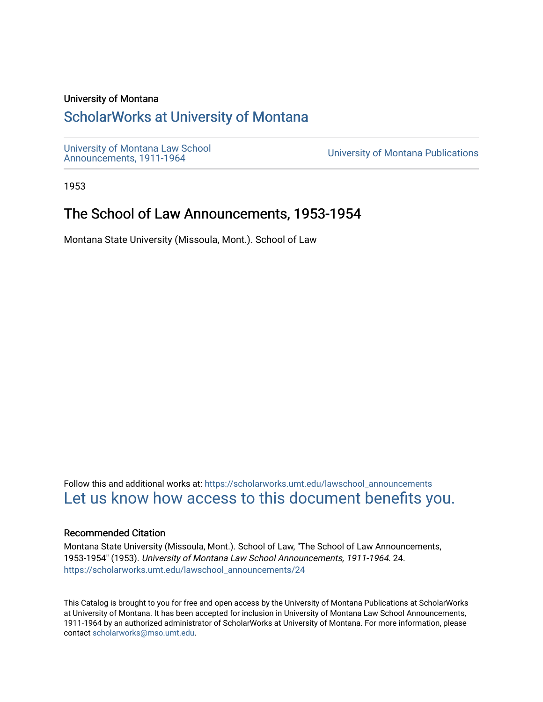## University of Montana

## [ScholarWorks at University of Montana](https://scholarworks.umt.edu/)

[University of Montana Law School](https://scholarworks.umt.edu/lawschool_announcements)<br>Announcements, 1911-1964

**University of Montana Publications** 

1953

## The School of Law Announcements, 1953-1954

Montana State University (Missoula, Mont.). School of Law

Follow this and additional works at: [https://scholarworks.umt.edu/lawschool\\_announcements](https://scholarworks.umt.edu/lawschool_announcements?utm_source=scholarworks.umt.edu%2Flawschool_announcements%2F24&utm_medium=PDF&utm_campaign=PDFCoverPages)  [Let us know how access to this document benefits you.](https://goo.gl/forms/s2rGfXOLzz71qgsB2) 

### Recommended Citation

Montana State University (Missoula, Mont.). School of Law, "The School of Law Announcements, 1953-1954" (1953). University of Montana Law School Announcements, 1911-1964. 24. [https://scholarworks.umt.edu/lawschool\\_announcements/24](https://scholarworks.umt.edu/lawschool_announcements/24?utm_source=scholarworks.umt.edu%2Flawschool_announcements%2F24&utm_medium=PDF&utm_campaign=PDFCoverPages)

This Catalog is brought to you for free and open access by the University of Montana Publications at ScholarWorks at University of Montana. It has been accepted for inclusion in University of Montana Law School Announcements, 1911-1964 by an authorized administrator of ScholarWorks at University of Montana. For more information, please contact [scholarworks@mso.umt.edu](mailto:scholarworks@mso.umt.edu).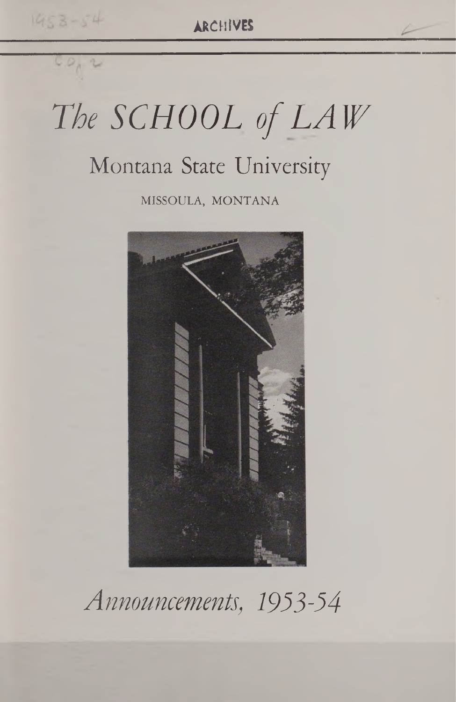# *The SCHOOL of LAW*

# Montana State University

MISSOULA, MONTANA



*Announcements, 1933-54*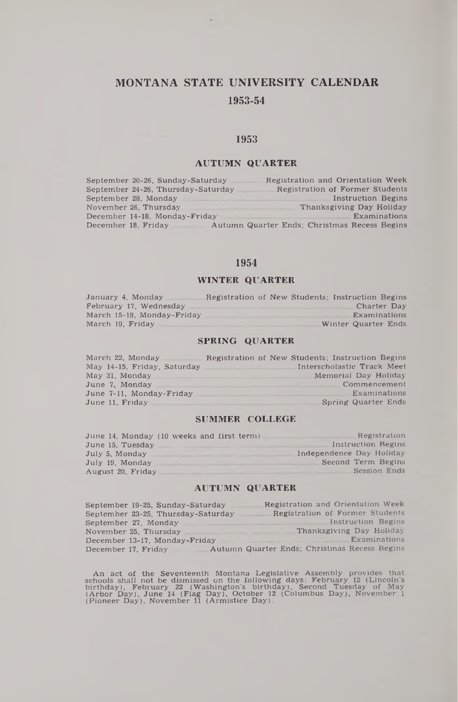## **MONTANA STATE UNIVERSITY CALENDAR 1953-54**

#### **1953**

#### **AUTUMN QUARTER**

|                                                                                                                                                                                                                                                                              | 1953                                                                                                                                                                                                                                                                                                                                                                                |
|------------------------------------------------------------------------------------------------------------------------------------------------------------------------------------------------------------------------------------------------------------------------------|-------------------------------------------------------------------------------------------------------------------------------------------------------------------------------------------------------------------------------------------------------------------------------------------------------------------------------------------------------------------------------------|
|                                                                                                                                                                                                                                                                              | <b>AUTUMN QUARTER</b>                                                                                                                                                                                                                                                                                                                                                               |
| September 28, Monday and the contract of the separation of the separation of the separation of the separation of the separation of the separation of the separation of the separation of the separation of the separation of t                                               | September 20-26, Sunday-Saturday Registration and Orientation Week<br>September 24-26, Thursday-Saturday Registration of Former Students<br><b>Instruction Begins</b><br>November 26, Thursday Molecule 2018, Thanksgiving Day Holiday<br>December 14-18, Monday-Friday Manager and Second Examinations<br>December 18, Friday <b>Autumn Quarter Ends</b> ; Christmas Recess Begins |
|                                                                                                                                                                                                                                                                              | 1954                                                                                                                                                                                                                                                                                                                                                                                |
|                                                                                                                                                                                                                                                                              | WINTER QUARTER                                                                                                                                                                                                                                                                                                                                                                      |
| February 17. Wednesday<br>March 15-19, Monday-Friday and the control of the control of the control of the control of the control of the control of the control of the control of the control of the control of the control of the control of the control<br>March 19. Friday | January 4, Monday _______Registration of New Students; Instruction Begins<br>Charter Day<br>the contract of the property of the contract of the property of the contract of<br>Examinations<br>Winter Quarter Ends                                                                                                                                                                  |
|                                                                                                                                                                                                                                                                              | <b>SPRING QUARTER</b>                                                                                                                                                                                                                                                                                                                                                               |
| March 22, Monday<br>May 14-15, Friday, Saturday<br>May 31, Monday                                                                                                                                                                                                            | Registration of New Students; Instruction Begins<br>Interscholastic Track Meet<br>Memorial Day Holiday                                                                                                                                                                                                                                                                              |

#### 1954

#### **WINTER QUARTER**

| January 4. Monday          | Registration of New Students: Instruction Begins |  |  |                     |
|----------------------------|--------------------------------------------------|--|--|---------------------|
| February 17. Wednesday     |                                                  |  |  | Charter Day         |
| March 15-19, Monday-Friday |                                                  |  |  | Examinations        |
| March 19. Friday           |                                                  |  |  | Winter Quarter Ends |

#### **SPRING QUARTER**

| March 22, Monday            | Registration of New Students: Instruction Begins |
|-----------------------------|--------------------------------------------------|
| May 14-15, Friday, Saturday | Interscholastic Track Meet                       |
| May 31, Monday              | Memorial Day Holiday                             |
| June 7. Monday              | Commencement                                     |
| June 7-11. Monday-Friday    | Examinations                                     |
| June 11. Friday             | Spring Quarter Ends                              |

#### **SUMMER COLLEGE**

| Registration<br>June 14, Monday (10 weeks and first term) |
|-----------------------------------------------------------|
| Instruction Begins                                        |
| Independence Day Holiday                                  |
| Second Term Begins                                        |
| Session Ends                                              |
|                                                           |

#### **AUTUMN QUARTER**

| September 19-25, Sunday-Saturday                                         | Registration and Orientation Week |
|--------------------------------------------------------------------------|-----------------------------------|
| September 23-25, Thursday-Saturday                                       | Registration of Former Students   |
| September 27. Monday                                                     | Instruction Begins                |
| November 25, Thursday                                                    | Thanksgiving Day Holiday          |
| December 13-17, Monday-Friday <b>Examinations</b> Examinations           |                                   |
| December 17, Friday <b>Autumn Quarter Ends</b> ; Christmas Recess Begins |                                   |

An act of the Seventeenth Montana Legislative Assembly provides that<br>schools shall not be dismissed on the following days: February 12 (Lincoln's<br>birthday), February 22 (Washington's birthday), Second Tuesday of May<br>(Arbor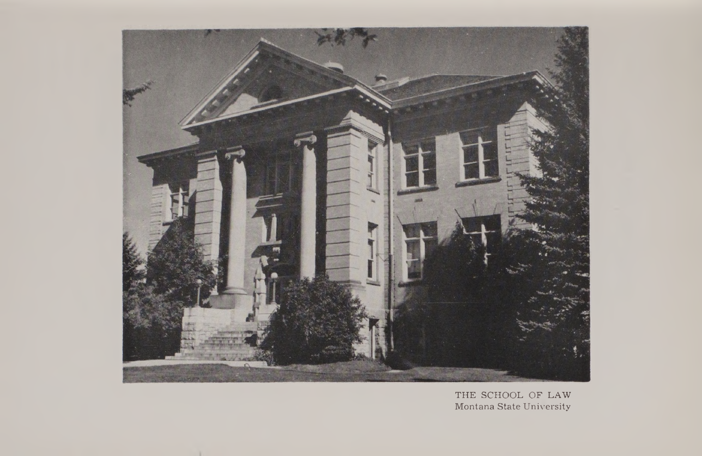

THE SCHOOL OF LAW Montana State University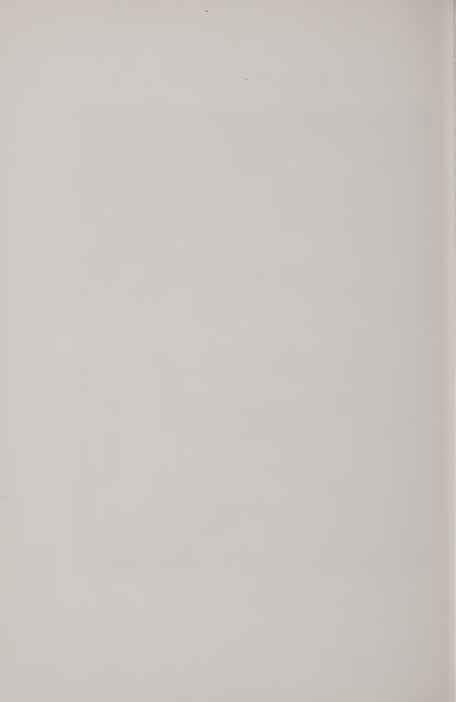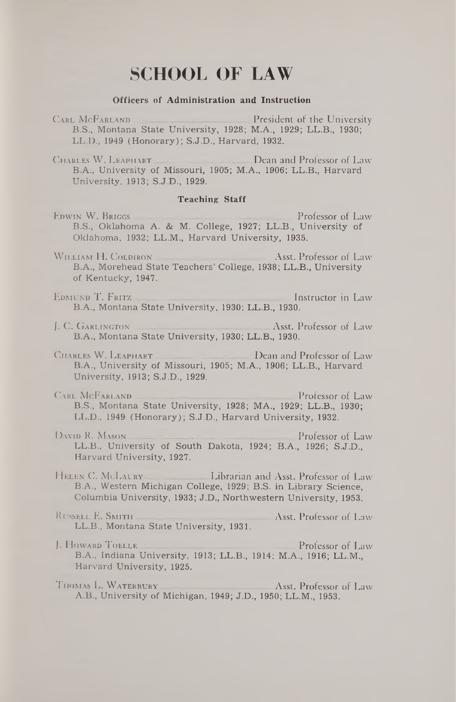# **SCHOOL OF LAW**

#### **Officers of Administration and Instruction**

- CARL McFARLAND President of the University B.S., Montana State University, 1928; M.A., 1929; LL.B., 1930; LL.D., 1949 (Honorary); S.J.D., Harvard, 1932.
- Charles W. Leaphart\_\_\_\_\_\_\_\_\_\_\_\_\_\_\_\_\_\_\_\_Dean and Professor of Law B.A., University of Missouri, 1905; M.A., 1906; LL.B., Harvard University, 1913; S.J.D., 1929.

#### **Teaching Staff**

- Edwin W. Briggs\_\_ \_\_\_ \_\_\_\_\_\_\_\_\_\_\_\_ \_\_\_\_\_\_\_\_\_\_\_\_\_\_\_ Professor of Law B.S., Oklahoma A. & M. College, 1927; LL.B., University of Oklahoma, 1932; LL.M., Harvard University, 1935.
- WILLIAM H. COLDIRON Asst. Professor of Law B.A., Morehead State Teachers' College, 1938; LL.B., University of Kentucky, 1947.
- Edmund T. Fritz \_\_\_ \_\_\_\_\_\_\_\_\_\_\_\_\_\_\_\_\_\_ \_\_\_\_\_\_ \_\_\_\_ Instructor in Law B.A., Montana State University, 1930; LL.B., 1930.
- J. C. Garlington\_\_ \_ \_\_\_\_\_\_\_\_\_\_\_\_\_ \_\_\_\_\_\_ \_\_\_\_Asst. Professor of Law B.A., Montana State University, 1930; LL.B., 1930.
- CHARLES W. LEAPHART\_\_\_\_\_\_\_\_\_\_\_\_\_\_\_\_\_\_\_\_\_\_\_ Dean and Professor of Law B.A., University of Missouri, 1905; M.A., 1906; LL.B., Harvard University, 1913; S.J.D., 1929.
- Carl McFarland\_\_\_\_\_\_\_\_\_\_\_\_\_\_\_\_\_\_ \_\_\_\_ \_\_\_\_\_\_\_\_\_\_\_Professor of Law B.S., Montana State University, 1928; MA., 1929; LL.B., 1930; LL.D., 1949 (Honorary); S.J.D., Harvard University, 1932.
- David R. Mason\_\_\_\_\_\_\_\_\_\_\_\_\_\_\_\_ \_\_\_\_\_\_\_\_\_\_\_\_ \_\_ \_\_ Professor of Law LL.B., University of South Dakota, 1924; B.A., 1926; S.J.D., Harvard University, 1927.
- HELEN C. McLAURY \_\_\_\_\_\_\_\_\_\_\_\_\_Librarian and Asst. Professor of Law B.A., Western Michigan College, 1929; B.S. in Library Science, Columbia University, 1933; J.D., Northwestern University, 1953.
- RUSSELL E. SMITH\_\_\_\_\_\_\_\_\_\_\_\_\_\_\_\_\_\_\_\_\_\_\_\_\_\_ Asst. Professor of Law LL.B., Montana State University, 1931.
- J. Howard Toelle B.A., Indiana University, 1913; LL.B., 1914; M.A., 1916; LL.M., Harvard University, 1925.
- Thomas L. Waterbury \_\_\_ \_\_\_\_ ....................... Asst. Professor of Law A.B., University of Michigan, 1949; J.D., 1950; LL.M., 1953.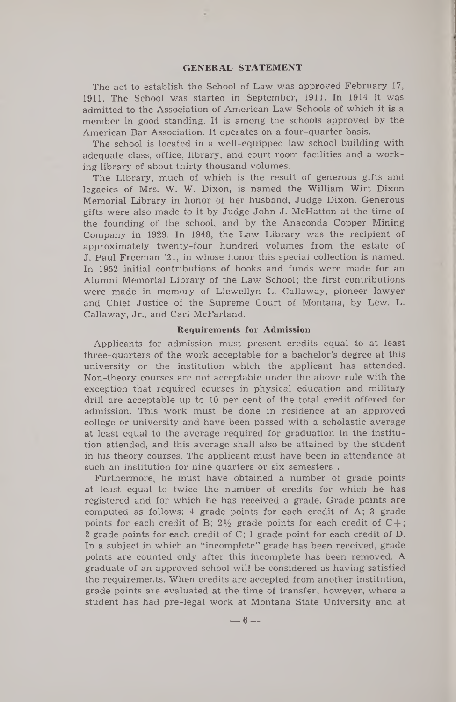#### **GENERAL STATEMENT**

The act to establish the School of Law was approved February 17, 1911. The School was started in September, 1911. In 1914 it was admitted to the Association of American Law Schools of which it is a member in good standing. It is among the schools approved by the American Bar Association. It operates on a four-quarter basis.

The school is located in a well-equipped law school building with adequate class, office, library, and court room facilities and a working library of about thirty thousand volumes.

The Library, much of which is the result of generous gifts and legacies of Mrs. W. W. Dixon, is named the William Wirt Dixon Memorial Library in honor of her husband, Judge Dixon. Generous gifts were also made to it by Judge John J. McHatton at the time of the founding of the school, and by the Anaconda Copper Mining Company in 1929. In 1948, the Law Library was the recipient of approximately twenty-four hundred volumes from the estate of J. Paul Freeman '21, in whose honor this special collection is named. In 1952 initial contributions of books and funds were made for an Alumni Memorial Library of the Law School; the first contributions were made in memory of Llewellyn L. Callaway, pioneer lawyer and Chief Justice of the Supreme Court of Montana, by Lew. L. Callaway, Jr., and Carl McFarland.

#### **Requirements for Admission**

Applicants for admission must present credits equal to at least three-quarters of the work acceptable for a bachelor's degree at this university or the institution which the applicant has attended. Non-theory courses are not acceptable under the above rule with the exception that required courses in physical education and military drill are acceptable up to 10 per cent of the total credit offered for admission. This work must be done in residence at an approved college or university and have been passed with a scholastic average at least equal to the average required for graduation in the institution attended, and this average shall also be attained by the student in his theory courses. The applicant must have been in attendance at such an institution for nine quarters or six semesters .

Furthermore, he must have obtained a number of grade points at least equal to twice the number of credits for which he has registered and for which he has received a grade. Grade points are computed as follows: 4 grade points for each credit of A; 3 grade points for each credit of B;  $2\frac{1}{2}$  grade points for each credit of C+; 2 grade points for each credit of C; <sup>1</sup> grade point for each credit of D. In a subject in which an "incomplete" grade has been received, grade points are counted only after this incomplete has been removed. A graduate of an approved school will be considered as having satisfied the requirements. When credits are accepted from another institution, grade points are evaluated at the time of transfer; however, where a student has had pre-legal work at Montana State University and at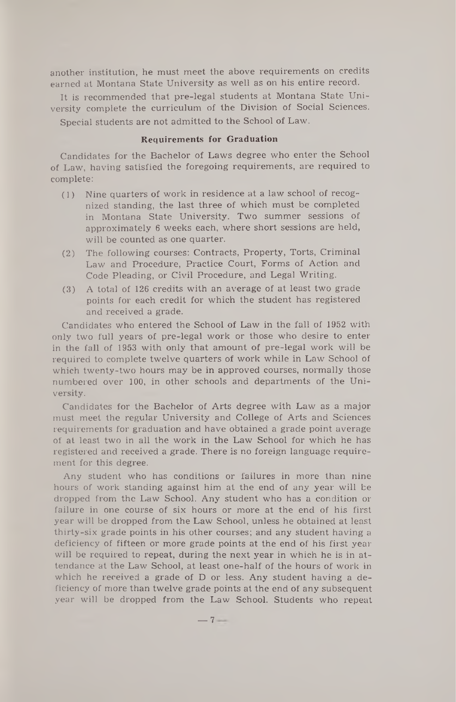another institution, he must meet the above requirements on credits earned at Montana State University as well as on his entire record.

It is recommended that pre-legal students at Montana State University complete the curriculum of the Division of Social Sciences. Special students are not admitted to the School of Law.

#### **Requirements for Graduation**

Candidates for the Bachelor of Laws degree who enter the School of Law, having satisfied the foregoing requirements, are required to complete:

- (1) Nine quarters of work in residence at a law school of recognized standing, the last three of which must be completed in Montana State University. Two summer sessions of approximately <sup>6</sup> weeks each, where short sessions are held, will be counted as one quarter.
- (2) The following courses: Contracts, Property, Torts, Criminal Law and Procedure, Practice Court, Forms of Action and Code Pleading, or Civil Procedure, and Legal Writing.
- (3) A total of 126 credits with an average of at least two grade points for each credit for which the student has registered and received a grade.

Candidates who entered the School of Law in the fall of 1952 with only two full years of pre-legal work or those who desire to enter in the fall of 1953 with only that amount of pre-legal work will be required to complete twelve quarters of work while in Law School of which twenty-two hours may be in approved courses, normally those numbered over 100, in other schools and departments of the University.

Candidates for the Bachelor of Arts degree with Law as a major must meet the regular University and College of Arts and Sciences requirements for graduation and have obtained a grade point average of at least two in all the work in the Law School for which he has registered and received a grade. There is no foreign language requirement for this degree.

Any student who has conditions or failures in more than nine hours of work standing against him at the end of any year will be dropped from the Law School. Any student who has a condition or failure in one course of six hours or more at the end of his first year will be dropped from the Law School, unless he obtained at least thirty-six grade points in his other courses; and any student having a deficiency of fifteen or more grade points at the end of his first year will be required to repeat, during the next year in which he is in attendance at the Law School, at least one-half of the hours of work in which he received a grade of D or less. Any student having a deficiency of more than twelve grade points at the end of any subsequent year will be dropped from the Law School. Students who repeat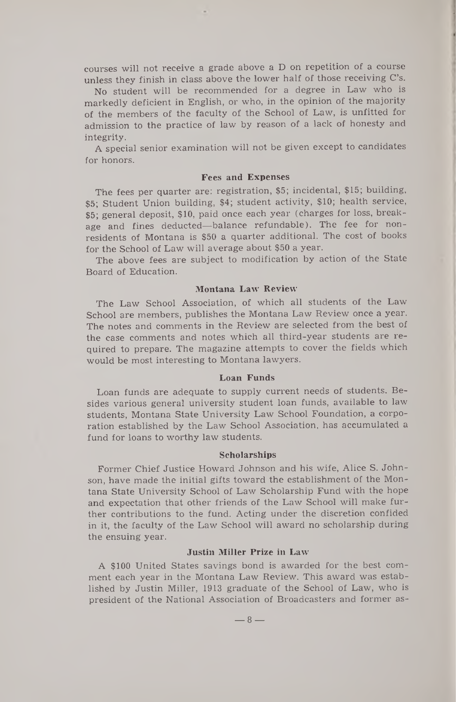courses will not receive a grade above a D on repetition of a course unless they finish in class above the lower half of those receiving C's.

No student will be recommended for a degree in Law who is markedly deficient in English, or who, in the opinion of the majority of the members of the faculty of the School of Law, is unfitted for admission to the practice of law by reason of a lack of honesty and integrity.

A special senior examination will not be given except to candidates for honors.

#### Fees and Expenses

The fees per quarter are: registration, \$5; incidental, \$15; building, \$5; Student Union building, \$4; student activity, \$10; health service, \$5; general deposit, \$10, paid once each year (charges for loss, breakage and fines deducted—balance refundable). The fee for nonresidents of Montana is \$50 a quarter additional. The cost of books for the School of Law will average about \$50 a year.

The above fees are subject to modification by action of the State Board of Education.

#### Montana Law Review

The Law School Association, of which all students of the Law School are members, publishes the Montana Law Review once a year. The notes and comments in the Review are selected from the best of the case comments and notes which all third-year students are required to prepare. The magazine attempts to cover the fields which would be most interesting to Montana lawyers.

#### Loan Funds

Loan funds are adequate to supply current needs of students. Besides various general university student loan funds, available to law students, Montana State University Law School Foundation, a corporation established by the Law School Association, has accumulated a fund for loans to worthy law students.

#### Scholarships

Former Chief Justice Howard Johnson and his wife, Alice S. Johnson, have made the initial gifts toward the establishment of the Montana State University School of Law Scholarship Fund with the hope and expectation that other friends of the Law School will make further contributions to the fund. Acting under the discretion confided in it, the faculty of the Law School will award no scholarship during the ensuing year.

#### Justin Miller Prize in Law

A \$100 United States savings bond is awarded for the best comment each year in the Montana Law Review. This award was established by Justin Miller, 1913 graduate of the School of Law, who is president of the National Association of Broadcasters and former as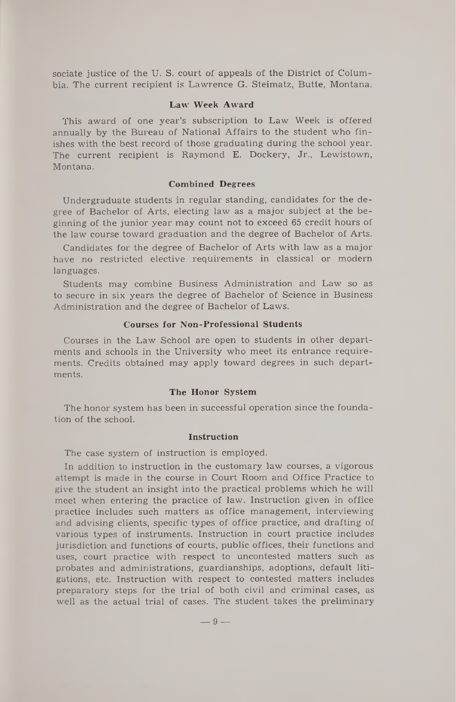sociate justice of the U. S. court of appeals of the District of Columbia. The current recipient is Lawrence G. Steimatz, Butte, Montana.

#### Law Week Award

This award of one year's subscription to Law Week is offered annually by the Bureau of National Affairs to the student who finishes with the best record of those graduating during the school year. The current recipient is Raymond E. Dockery, Jr., Lewistown, Montana.

#### Combined Degrees

Undergraduate students in regular standing, candidates for the degree of Bachelor of Arts, electing law as a major subject at the beginning of the junior year may count not to exceed 65 credit hours of the law course toward graduation and the degree of Bachelor of Arts.

Candidates for the degree of Bachelor of Arts with law as a major have no restricted elective requirements in classical or modern languages.

Students may combine Business Administration and Law so as to secure in six years the degree of Bachelor of Science in Business Administration and the degree of Bachelor of Laws.

#### Courses for Non-Professional Students

Courses in the Law School are open to students in other departments and schools in the University who meet its entrance requirements. Credits obtained may apply toward degrees in such departments.

#### The Honor System

The honor system has been in successful operation since the foundation of the school.

#### Instruction

The case system of instruction is employed.

In addition to instruction in the customary law courses, a vigorous attempt is made in the course in Court Room and Office Practice to give the student an insight into the practical problems which he will meet when entering the practice of law. Instruction given in office practice includes such matters as office management, interviewing and advising clients, specific types of office practice, and drafting of various types of instruments. Instruction in court practice includes jurisdiction and functions of courts, public offices, their functions and uses, court practice with respect to uncontested matters such as probates and administrations, guardianships, adoptions, default litigations, etc. Instruction with respect to contested matters includes preparatory steps for the trial of both civil and criminal cases, as well as the actual trial of cases. The student takes the preliminary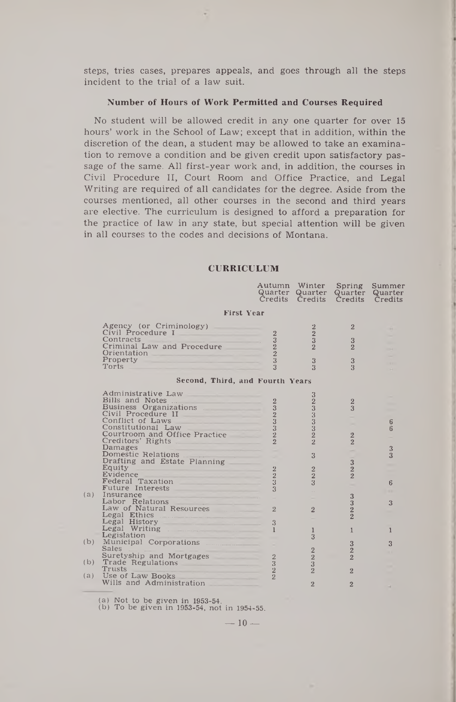steps, tries cases, prepares appeals, and goes through all the steps incident to the trial of a law suit.

#### **Number of Hours of Work Permitted and Courses Required**

No student will be allowed credit in any one quarter for over <sup>15</sup> hours' work in the School of Law; except that in addition, within the discretion of the dean, a student may be allowed to take an examination to remove a condition and be given credit upon satisfactory passage of the same. All first-year work and, in addition, the courses in Civil Procedure II, Court Room and Office Practice, and Legal Writing are required of all candidates for the degree. Aside from the courses mentioned, all other courses in the second and third years are elective. The curriculum is designed to afford a preparation for the practice of law in any state, but special attention will be given in all courses to the codes and decisions of Montana.

#### **CURRICULUM**

|     |                                                                                                                                                                                                                                      |                                                      |                            | Autumn Winter Spring Summer<br>Quarter Quarter Quarter Quarter<br>Credits Credits Credits Credits |                 |
|-----|--------------------------------------------------------------------------------------------------------------------------------------------------------------------------------------------------------------------------------------|------------------------------------------------------|----------------------------|---------------------------------------------------------------------------------------------------|-----------------|
|     | First Year                                                                                                                                                                                                                           |                                                      |                            |                                                                                                   |                 |
|     | Agency (or Criminology) and the same of the state of the state of the state of the state of the state of the state of the state of the state of the state of the state of the state of the state of the state of the state of        |                                                      |                            | $\overline{2}$                                                                                    | ÷               |
|     | Civil Procedure I                                                                                                                                                                                                                    |                                                      |                            |                                                                                                   |                 |
|     | Contracts<br><u> Partie de la propieta de la propieta de la propieta de la propieta de la propieta de la propieta de la propie</u><br>Criminal Law and Procedure                                                                     |                                                      | $2^{2}_{2}$<br>$3^{2}_{2}$ | $\mathbf{3}$                                                                                      |                 |
|     |                                                                                                                                                                                                                                      |                                                      |                            | $\overline{2}$                                                                                    |                 |
|     | <b>Orientation</b><br>Property Property                                                                                                                                                                                              | $\begin{array}{c} 2 \\ 3 \\ 2 \\ 2 \\ 3 \end{array}$ |                            |                                                                                                   |                 |
|     | Torts                                                                                                                                                                                                                                | $\tilde{3}$                                          | $\frac{3}{3}$              | $\frac{3}{3}$                                                                                     |                 |
|     |                                                                                                                                                                                                                                      |                                                      |                            |                                                                                                   |                 |
|     | Second, Third, and Fourth Years                                                                                                                                                                                                      |                                                      |                            |                                                                                                   |                 |
|     | Administrative Law                                                                                                                                                                                                                   |                                                      | 3                          |                                                                                                   |                 |
|     | Bills and Notes                                                                                                                                                                                                                      |                                                      |                            | $\sqrt{2}$                                                                                        |                 |
|     |                                                                                                                                                                                                                                      | 232322                                               | $\frac{2}{3}$              | 3                                                                                                 |                 |
|     | Business Organizations<br>Civil Procedure II                                                                                                                                                                                         |                                                      |                            |                                                                                                   |                 |
|     |                                                                                                                                                                                                                                      |                                                      |                            |                                                                                                   | $6\phantom{1}6$ |
|     | Conflict of Laws<br>Constitutional Law                                                                                                                                                                                               |                                                      |                            |                                                                                                   | 6               |
|     | Courtroom and Office Practice                                                                                                                                                                                                        |                                                      |                            | $\,2$                                                                                             |                 |
|     | Creditors' Rights                                                                                                                                                                                                                    |                                                      | 3322                       | $\overline{2}$                                                                                    |                 |
|     | Damages<br><u> Alban Maria (Alban Maria A</u>                                                                                                                                                                                        | ٠                                                    |                            |                                                                                                   | 3               |
|     |                                                                                                                                                                                                                                      | u                                                    | 3                          |                                                                                                   | 3               |
|     | Domestic Relations<br>Drafting and Estate Planning                                                                                                                                                                                   |                                                      |                            |                                                                                                   |                 |
|     | Equity <b>Equity Equity Equity Equity Equity Equity Equity Equity Equity Equity Equity Equity Equity Equity Equity Equity Equity Equity Equity Equity Equity Equity Equity Equity</b>                                                |                                                      |                            | $\frac{3}{2}$                                                                                     |                 |
|     | Evidence<br><u> Albanya Sandar Barat a</u>                                                                                                                                                                                           | $\begin{smallmatrix}2\\2\\3\end{smallmatrix}$        | $\frac{2}{3}$              |                                                                                                   |                 |
|     | Federal Taxation                                                                                                                                                                                                                     |                                                      |                            |                                                                                                   | 6               |
|     | Future Interests <b>Executive Service Service Service Service Service Service Service Service Service Service Service Service Service Service Service Service Service Service Service Service Service Service Service Service Se</b> | 3                                                    |                            |                                                                                                   |                 |
| (a) | Insurance<br>the company's company's company's company's                                                                                                                                                                             | à.                                                   | $\sim$                     |                                                                                                   |                 |
|     |                                                                                                                                                                                                                                      |                                                      |                            |                                                                                                   | 3               |
|     | Labor Relations<br>Law of Natural Resources                                                                                                                                                                                          | $\overline{2}$                                       | $\overline{2}$             | 3322                                                                                              |                 |
|     | Legal Ethics <b>Experience Activity</b>                                                                                                                                                                                              |                                                      |                            |                                                                                                   |                 |
|     | Legal History <b>Executive Service Service Service Service Service Service Service Service Service Service Service Service Service Service Service Service Service Service Service Service Service Service Service Service Servi</b> | 3                                                    |                            |                                                                                                   |                 |
|     | Legal Writing <b>Executive Service Service Service Service Service Service Service Service Service Service Service Service Service Service Service Service Service Service Service Service Service Service Service Service Servi</b> | $\mathbf{1}$                                         | $\mathbf{1}$               | $\mathbf{1}$                                                                                      | 1               |
|     | Legislation <b>Exercise Service Service Service Service Service Service Service Service Service Service Service S</b>                                                                                                                |                                                      | 3                          |                                                                                                   |                 |
| (b) | Municipal Corporations                                                                                                                                                                                                               |                                                      |                            | 3                                                                                                 | 3               |
|     | Sales                                                                                                                                                                                                                                |                                                      |                            | $\overline{2}$                                                                                    |                 |
|     | Suretyship and Mortgages                                                                                                                                                                                                             |                                                      | $\frac{2}{2}$              | $\overline{2}$                                                                                    |                 |
| (b) | Trade Regulations                                                                                                                                                                                                                    | $\begin{array}{c}\n2 \\ 3 \\ 2 \\ 2\n\end{array}$    | $\overline{3}$             |                                                                                                   |                 |
|     | <b>Trusts</b><br>the company's company's company's                                                                                                                                                                                   |                                                      | $\overline{2}$             | $\overline{2}$                                                                                    |                 |
| (a) | Use of Law Books and Law Books and Law Books and Law Books and Law Books and Law Books and Law Books and Law Books and Law Books and Law Books and Law Books and Law Books and Law Books and Law Books and Law Books and Law B       |                                                      |                            |                                                                                                   |                 |
|     | Wills and Administration                                                                                                                                                                                                             |                                                      | $\overline{2}$             | $\overline{2}$                                                                                    |                 |
|     |                                                                                                                                                                                                                                      |                                                      |                            |                                                                                                   |                 |
|     |                                                                                                                                                                                                                                      |                                                      |                            |                                                                                                   |                 |

(a) Not to be given in 1953-54. (b) To be given in 1953-54, not in 1954-55.

 $-10-$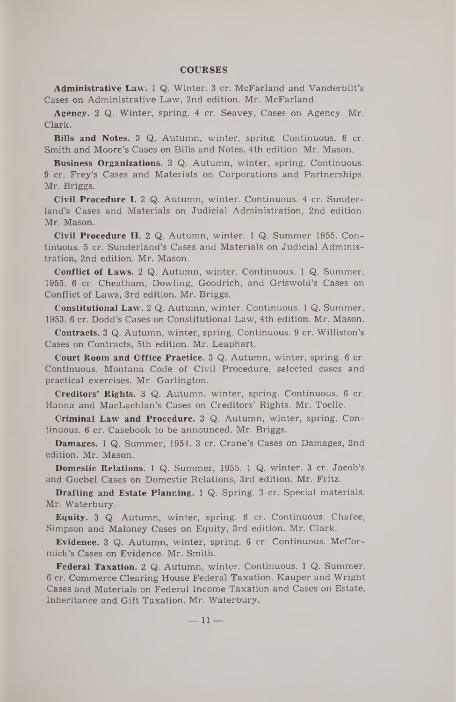#### **COURSES**

**Administrative Law.** <sup>1</sup> Q. Winter. 3 cr. McFarland and Vanderbilt's Cases on Administrative Law, 2nd edition. Mr. McFarland.

**Agency.** 2 Q. Winter, spring. 4 cr. Seavey, Cases on Agency. Mr. Clark.

**Bills and Notes.** 3 Q. Autumn, winter, spring. Continuous. 6 cr. Smith and Moore's Cases on Bills and Notes, 4th edition. Mr. Mason.

Business Organizations. 3 Q. Autumn, winter, spring. Continuous. 9 cr. Frey's Cases and Materials on Corporations and Partnerships. Mr. Briggs.

Civil Procedure I. 2 Q. Autumn, winter. Continuous. 4 cr. Sunderland's Cases and Materials on Judicial Administration, 2nd edition. Mr. Mason.

Civil Procedure II. 2 Q. Autumn, winter. <sup>1</sup> Q. Summer 1955. Continuous. 5 cr. Sunderland's Cases and Materials on Judicial Administration, 2nd edition. Mr. Mason.

Conflict of Laws. 2 Q. Autumn, winter. Continuous. <sup>1</sup> Q. Summer, 1955. 6 cr. Cheatham, Dowling, Goodrich, and Griswold's Cases on Conflict of Laws, 3rd edition. Mr. Briggs.

Constitutional Law. 2 Q. Autumn, winter. Continuous. <sup>1</sup> Q. Summer, 1953. 6 cr. Dodd's Cases on Constitutional Law, 4th edition. Mr. Mason.

Contracts. 3 Q. Autumn, winter, spring. Continuous. 9 cr. Williston's Cases on Contracts, 5th edition. Mr. Leaphart.

Court Room and Office Practice. 3 Q. Autumn, winter, spring. 6 cr. Continuous. Montana Code of Civil Procedure, selected cases and practical exercises. Mr. Garlington.

Creditors' Rights. 3 Q. Autumn, winter, spring. Continuous. 6 cr. Hanna and MacLachlan's Cases on Creditors' Rights. Mr. Toelle.

Criminal Law and Procedure. 3 Q. Autumn, winter, spring. Continuous. 6 cr. Casebook to be announced. Mr. Briggs.

Damages. <sup>1</sup> Q. Summer, 1954. 3 cr. Crane's Cases on Damages, 2nd edition. Mr. Mason.

Domestic Relations. <sup>1</sup> Q. Summer, 1955. <sup>1</sup> Q. winter. 3 cr. Jacob's and Goebel Cases on Domestic Relations, 3rd edition. Mr. Fritz.

Drafting and Estate Planning. <sup>1</sup> Q. Spring. 3 cr. Special materials. Mr. Waterbury.

**Equity.** 3 Q. Autumn, winter, spring. 6 cr. Continuous. Chafee, Simpson and Maloney Cases on Equity, 3rd edition. Mr. Clark.

Evidence. 3 Q. Autumn, winter, spring. 6 cr. Continuous. McCormick's Cases on Evidence. Mr. Smith.

Federal Taxation. 2 Q. Autumn, winter. Continuous. 1 Q. Summer. 6 cr. Commerce Clearing House Federal Taxation. Kauper and Wright Cases and Materials on Federal Income Taxation and Cases on Estate, Inheritance and Gift Taxation. Mr. Waterbury.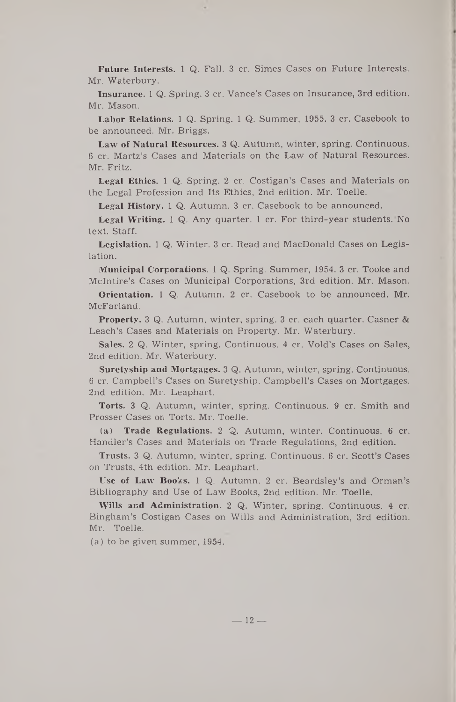**Future Interests.** <sup>1</sup> Q. Fall. <sup>3</sup> cr. Simes Cases on Future Interests. Mr. Waterbury.

**Insurance.** <sup>1</sup> Q. Spring. 3 cr. Vance's Cases on Insurance, 3rd edition. Mr. Mason.

Labor Relations. <sup>1</sup> Q. Spring. <sup>1</sup> Q. Summer, 1955. 3 cr. Casebook to be announced. Mr. Briggs.

**Law of Natural Resources.** 3 Q. Autumn, winter, spring. Continuous. 6 cr. Martz's Cases and Materials on the Law of Natural Resources. Mr. Fritz.

Legal Ethics. <sup>1</sup> Q. Spring. 2 cr. Costigan's Cases and Materials on the Legal Profession and Its Ethics, 2nd edition. Mr. Toelle.

Legal History. <sup>1</sup> Q. Autumn. 3 cr. Casebook to be announced.

Legal Writing. 1 Q. Any quarter. 1 cr. For third-year students. No text. Staff.

Legislation. <sup>1</sup> Q. Winter. 3 cr. Read and MacDonald Cases on Legislation.

Municipal Corporations. <sup>1</sup> Q. Spring. Summer, 1954. 3 cr. Tooke and McIntire's Cases on Municipal Corporations, 3rd edition. Mr. Mason.

Orientation. <sup>1</sup> Q. Autumn. 2 cr. Casebook to be announced. Mr. McFarland.

Property. 3 Q. Autumn, winter, spring. 3 cr. each quarter. Casner & Leach's Cases and Materials on Property. Mr. Waterbury.

Sales. 2 Q. Winter, spring. Continuous. 4 cr. Void's Cases on Sales, 2nd edition. Mr. Waterbury.

Suretyship and Mortgages. 3 Q. Autumn, winter, spring. Continuous. 6 cr. Campbell's Cases on Suretyship. Campbell's Cases on Mortgages, 2nd edition. Mr. Leaphart.

Torts. 3 Q. Autumn, winter, spring. Continuous. 9 cr. Smith and Prosser Cases on Torts. Mr. Toelle.

(a) Trade Regulations. 2 Q. Autumn, winter. Continuous. 6 cr. Handler's Cases and Materials on Trade Regulations, 2nd edition.

Trusts. 3 Q. Autumn, winter, spring. Continuous. 6 cr. Scott's Cases on Trusts, 4th edition. Mr. Leaphart.

Use of Law Books. <sup>1</sup> Q. Autumn. 2 cr. Beardsley's and Orman's Bibliography and Use of Law Books, 2nd edition. Mr. Toelle.

Wills and Administration. 2 Q. Winter, spring. Continuous. 4 cr. Bingham's Costigan Cases on Wills and Administration, 3rd edition. Mr. Toelle.

(a) to be given summer, 1954.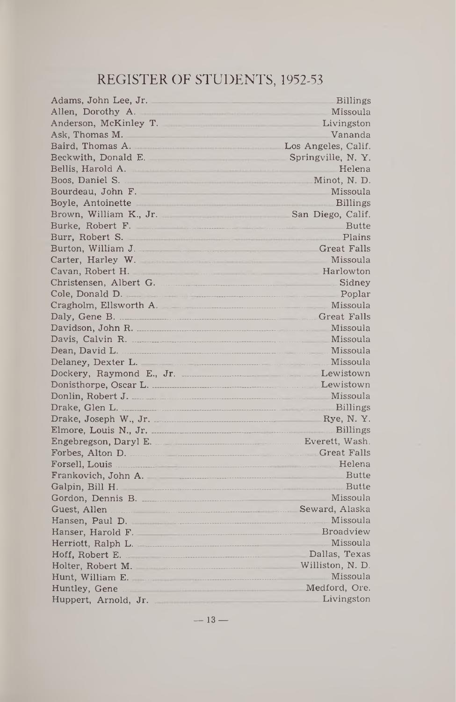# REGISTER OF STUDENTS, 1952-53

| Adams, John Lee, Jr.                                                                                                                                                                                                                                     | <b>Billings</b>     |
|----------------------------------------------------------------------------------------------------------------------------------------------------------------------------------------------------------------------------------------------------------|---------------------|
| Allen, Dorothy A.                                                                                                                                                                                                                                        | Missoula            |
| Anderson, McKinley T.                                                                                                                                                                                                                                    | Livingston          |
| Ask, Thomas M.                                                                                                                                                                                                                                           | Vananda             |
| Baird, Thomas A.                                                                                                                                                                                                                                         | Los Angeles, Calif. |
| Beckwith, Donald E.                                                                                                                                                                                                                                      | Springville, N.Y.   |
| Bellis, Harold A.                                                                                                                                                                                                                                        | Helena              |
| Boos, Daniel S.                                                                                                                                                                                                                                          | Minot, N. D.        |
| Bourdeau, John F.                                                                                                                                                                                                                                        | Missoula            |
| Boyle, Antoinette                                                                                                                                                                                                                                        | <b>Billings</b>     |
| Brown, William K., Jr.                                                                                                                                                                                                                                   | San Diego, Calif.   |
| Burke, Robert F.<br><u> 1989 - Jan Stein Harrison, francuski filozof (</u>                                                                                                                                                                               | <b>Butte</b>        |
| Burr, Robert S.                                                                                                                                                                                                                                          | Plains              |
| Burton, William J. <b>Exercísion Service Contract Contract Contract Contract Contract Contract Contract Contract Contract Contract Contract Contract Contract Contract Contract Contract Contract Contract Contract Contract Con</b>                     | Great Falls         |
| Carter, Harley W.<br>Space to be considered to be a considered and support the                                                                                                                                                                           | Missoula            |
| Cavan, Robert H.<br><u>The company of the company of the company of the company of the company of the company of the company of the company of the company of the company of the company of the company of the company of the company of the company</u> | Harlowton           |
| Christensen, Albert G.                                                                                                                                                                                                                                   | Sidney              |
| Cole, Donald D.                                                                                                                                                                                                                                          | Poplar              |
| Cragholm, Ellsworth A.                                                                                                                                                                                                                                   | Missoula            |
|                                                                                                                                                                                                                                                          |                     |
|                                                                                                                                                                                                                                                          | Missoula            |
|                                                                                                                                                                                                                                                          | Missoula            |
|                                                                                                                                                                                                                                                          | Missoula            |
| Delaney, Dexter L.                                                                                                                                                                                                                                       | Missoula            |
|                                                                                                                                                                                                                                                          | Lewistown           |
|                                                                                                                                                                                                                                                          |                     |
|                                                                                                                                                                                                                                                          | Missoula            |
|                                                                                                                                                                                                                                                          | <b>Billings</b>     |
| Drake, Joseph W., Jr. 2000. 2000. 2010. 2010. 2010. 2010. 2010. 2010. 2010. 2010. 2010. 2010. 2010. 2010. 2010                                                                                                                                           | Rye, N.Y.           |
|                                                                                                                                                                                                                                                          | <b>Billings</b>     |
| Engebregson, Daryl E. Massachusett, Wash.                                                                                                                                                                                                                |                     |
| Forbes, Alton D.                                                                                                                                                                                                                                         | Great Falls         |
| Forsell, Louis                                                                                                                                                                                                                                           | Helena              |
| Frankovich, John A. Martin Martin Martin Martin Martin Martin Martin Martin Martin Martin Martin Martin Martin                                                                                                                                           | <b>Butte</b>        |
| Galpin, Bill H.                                                                                                                                                                                                                                          | <b>Butte</b>        |
|                                                                                                                                                                                                                                                          | Missoula            |
| Guest, Allen                                                                                                                                                                                                                                             | Seward, Alaska      |
| Hansen, Paul D.                                                                                                                                                                                                                                          | Missoula            |
| Hanser, Harold F.                                                                                                                                                                                                                                        | <b>Broadview</b>    |
| Herriott, Ralph L.                                                                                                                                                                                                                                       | Missoula            |
| Hoff, Robert E.                                                                                                                                                                                                                                          | Dallas, Texas       |
| Holter, Robert M.                                                                                                                                                                                                                                        | Williston, N. D.    |
| Hunt, William E.                                                                                                                                                                                                                                         | Missoula            |
| Huntley, Gene                                                                                                                                                                                                                                            | Medford, Ore.       |
| Huppert, Arnold, Jr.                                                                                                                                                                                                                                     | Livingston          |

 $-13-$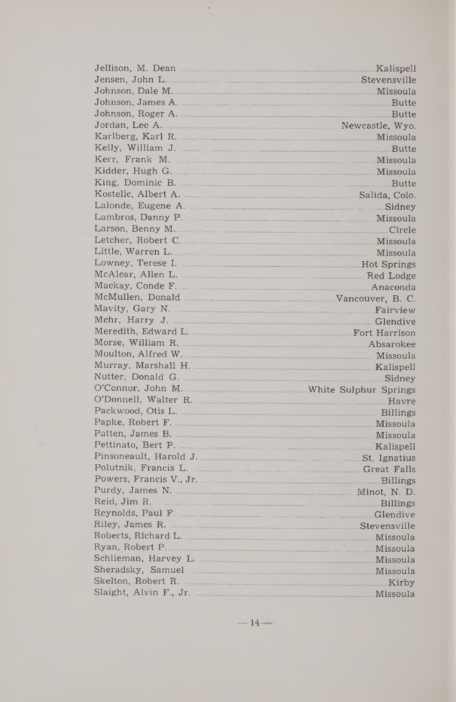| Jellison, M. Dean                                                                                              | Kalispell                                                                     |
|----------------------------------------------------------------------------------------------------------------|-------------------------------------------------------------------------------|
| Jensen, John L. <u>Sandard Barbara, and Jensen, John L. Sandard Barbara, and John L. Sandard Barbara</u>       | Stevensville                                                                  |
| Johnson, Dale M.                                                                                               | Missoula                                                                      |
| Johnson, James A.                                                                                              | <b>Butte</b>                                                                  |
|                                                                                                                | <b>Butte</b>                                                                  |
|                                                                                                                | Jordan, Lee A. <b>Martin A. A. A. A. A. A. A. A. A. A. A.</b> Newcastle, Wyo. |
| Karlberg, Karl R.                                                                                              | Missoula                                                                      |
| Kelly, William J.                                                                                              | <b>Butte</b>                                                                  |
|                                                                                                                | Kerr, Frank M. Martin Missoula                                                |
|                                                                                                                | Kidder, Hugh G. Missoula                                                      |
|                                                                                                                | King, Dominic B. Butter and Butter and Butter and Butter                      |
|                                                                                                                | Kostelic, Albert A. Salida, Colo.                                             |
| Lalonde, Eugene A.                                                                                             | Sidney                                                                        |
|                                                                                                                | Lambros, Danny P. Missoula                                                    |
| Larson, Benny M.                                                                                               | Circle                                                                        |
|                                                                                                                | Letcher, Robert C. Missoula                                                   |
| Little, Warren L.                                                                                              | Missoula                                                                      |
|                                                                                                                | Lowney, Terese I. Hot Springs                                                 |
| McAlear, Allen L.                                                                                              | Red Lodge                                                                     |
|                                                                                                                | Mackay, Conde F. Anaconda                                                     |
|                                                                                                                | McMullen, Donald Vancouver, B. C.                                             |
| Mavity, Gary N.                                                                                                | Fairview                                                                      |
| Mehr, Harry J.                                                                                                 | Glendive                                                                      |
|                                                                                                                | Meredith, Edward L. Fort Harrison                                             |
| Morse, William R.                                                                                              | Absarokee                                                                     |
| Moulton, Alfred W.                                                                                             | Missoula                                                                      |
| Murray, Marshall H.                                                                                            | Kalispell                                                                     |
| Nutter, Donald G.                                                                                              | Sidney                                                                        |
|                                                                                                                | O'Connor, John M. White Sulphur Springs                                       |
| O'Donnell, Walter R.                                                                                           | Havre                                                                         |
| Packwood, Otis L. New York Changes and Changes and Changes and Changes and Changes and Changes and Changes and | <b>Billings</b>                                                               |
|                                                                                                                | Papke, Robert F. Missoula                                                     |
| Patten, James B.                                                                                               | Missoula                                                                      |
| Pettinato, Bert P.                                                                                             | Kalispell                                                                     |
| Pinsoneault, Harold J.                                                                                         | St. Ignatius                                                                  |
| Polutnik, Francis L.                                                                                           | Great Falls                                                                   |
| Powers, Francis V., Jr.                                                                                        | <b>Billings</b>                                                               |
| Purdy, James N.                                                                                                | Minot, N. D.                                                                  |
|                                                                                                                | <b>Billings</b>                                                               |
| Reynolds, Paul F.                                                                                              | Glendive                                                                      |
|                                                                                                                | Riley, James R. Stevensville                                                  |
| Roberts, Richard L.                                                                                            | Missoula                                                                      |
| Ryan, Robert P.                                                                                                | Missoula                                                                      |
| Schlieman, Harvey L. <b>Engineering and Schlieman</b> , Harvey L.                                              | Missoula                                                                      |
| Sheradsky, Samuel                                                                                              | Missoula                                                                      |
| Skelton, Robert R.                                                                                             | Kirby                                                                         |
| Slaight, Alvin F., Jr.                                                                                         | Missoula                                                                      |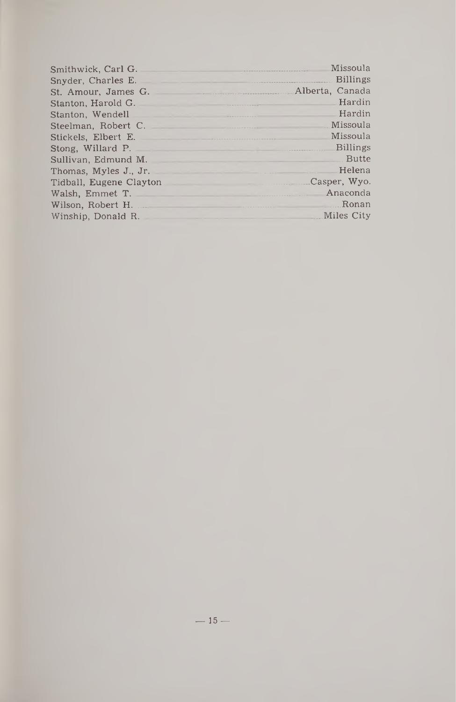| Smithwick, Carl G.      | Missoula<br>----------------------- |
|-------------------------|-------------------------------------|
| Snyder, Charles E.      | <b>Billings</b>                     |
| St. Amour, James G.     | Alberta, Canada                     |
| Stanton, Harold G.      | Hardin                              |
| Stanton, Wendell        | Hardin                              |
| Steelman, Robert C.     | Missoula                            |
| Stickels, Elbert E.     | Missoula                            |
| Stong, Willard P.       | <b>Billings</b>                     |
| Sullivan, Edmund M.     | <b>Butte</b>                        |
| Thomas, Myles J., Jr.   | Helena                              |
| Tidball, Eugene Clayton | Casper, Wyo.                        |
| Walsh, Emmet T.         | Anaconda                            |
| Wilson, Robert H.       | Ronan                               |
| Winship. Donald R.      | Miles City                          |